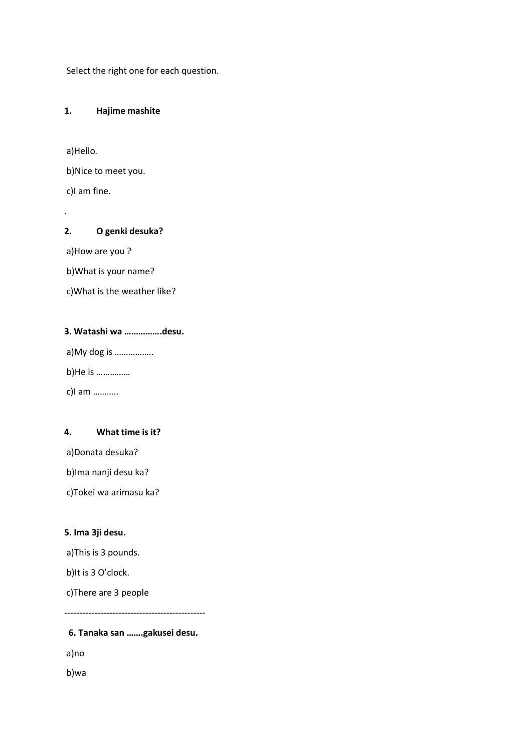Select the right one for each question.

#### **1. Hajime mashite**

a)Hello.

b)Nice to meet you.

c)I am fine.

.

## **2. O genki desuka?**

a)How are you ?

b)What is your name?

c)What is the weather like?

# **3. Watashi wa …………….desu.**

a)My dog is ……………..

b)He is ……………

c)I am ………..

### **4. What time is it?**

a)Donata desuka?

b)Ima nanji desu ka?

c)Tokei wa arimasu ka?

## **5. Ima 3ji desu.**

a)This is 3 pounds.

b)It is 3 O'clock.

c)There are 3 people

-----------------------------------------------

# **6. Tanaka san …….gakusei desu.**

a)no

b)wa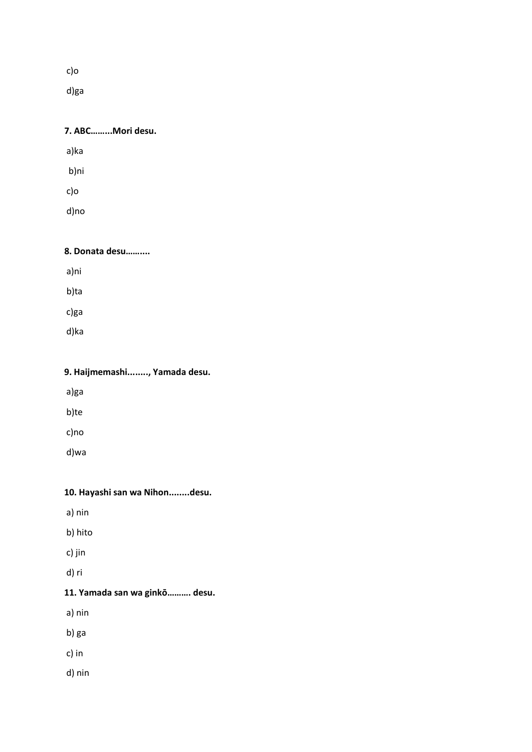c)o

d)ga

| 7. ABCMori desu. |  |
|------------------|--|
| a)ka             |  |
| b)ni             |  |
| c)o              |  |
| d)no             |  |
|                  |  |

| a)ni |  |  |  |
|------|--|--|--|
| b)ta |  |  |  |
| c)ga |  |  |  |
| d)ka |  |  |  |
|      |  |  |  |

**8. Donata desu……....** 

| 9. Haijmemashi, Yamada desu. |  |
|------------------------------|--|
| a)ga                         |  |
| b)te                         |  |
| c)no                         |  |
| d)wa                         |  |

|  |  |  |  |  | 10. Hayashi san wa Nihondesu. |
|--|--|--|--|--|-------------------------------|
|--|--|--|--|--|-------------------------------|

- a) nin
- b) hito
- c) jin
- d) ri

# **11. Yamada san wa ginkō………. desu.**

- a) nin
- b) ga
- c) in
- d) nin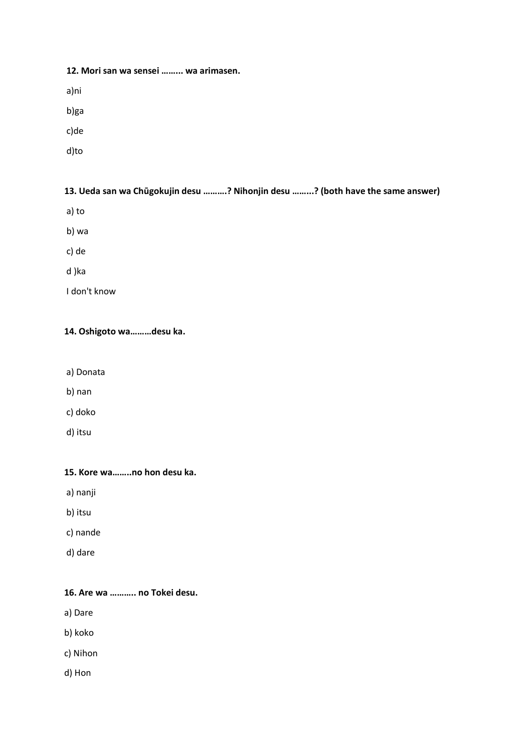#### **12. Mori san wa sensei ……... wa arimasen.**

a)ni

b)ga

c)de

d)to

#### **13. Ueda san wa Chūgokujin desu ……….? Nihonjin desu ……...? (both have the same answer)**

- a) to
- b) wa

c) de

d )ka

I don't know

## **14. Oshigoto wa………desu ka.**

- a) Donata
- b) nan
- c) doko
- d) itsu

### **15. Kore wa……..no hon desu ka.**

- a) nanji
- b) itsu
- c) nande
- d) dare

## **16. Are wa ……….. no Tokei desu.**

- a) Dare
- b) koko
- c) Nihon
- d) Hon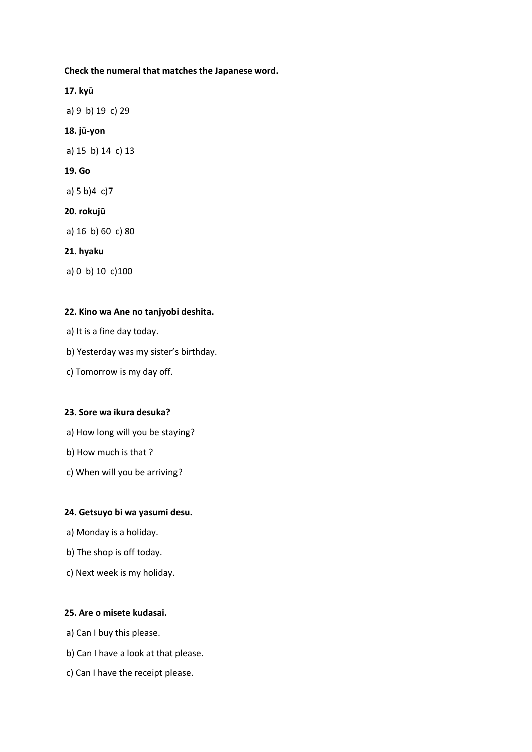**Check the numeral that matches the Japanese word.**

**17. kyū**  a) 9 b) 19 c) 29 **18. jū-yon**  a) 15 b) 14 c) 13 **19. Go** a) 5 b)4 c)7 **20. rokujū**  a) 16 b) 60 c) 80 **21. hyaku**  a) 0 b) 10 c)100

#### **22. Kino wa Ane no tanjyobi deshita.**

- a) It is a fine day today.
- b) Yesterday was my sister's birthday.
- c) Tomorrow is my day off.

#### **23. Sore wa ikura desuka?**

- a) How long will you be staying?
- b) How much is that ?
- c) When will you be arriving?

#### **24. Getsuyo bi wa yasumi desu.**

- a) Monday is a holiday.
- b) The shop is off today.
- c) Next week is my holiday.

### **25. Are o misete kudasai.**

- a) Can I buy this please.
- b) Can I have a look at that please.
- c) Can I have the receipt please.